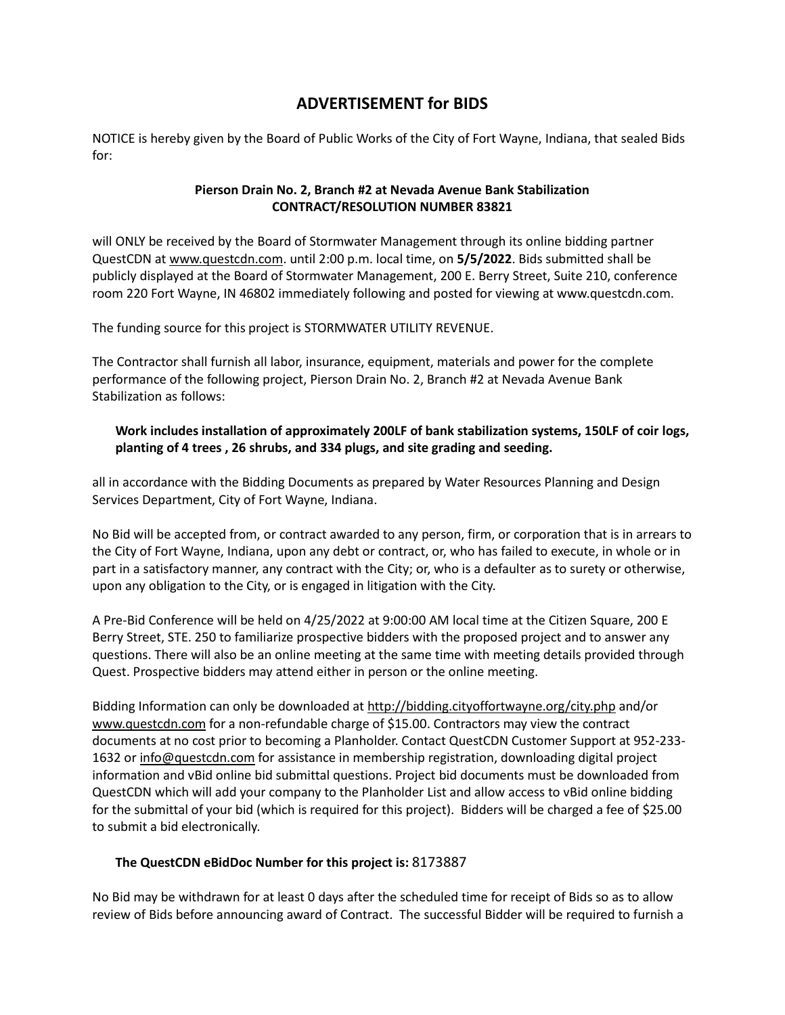## **ADVERTISEMENT for BIDS**

NOTICE is hereby given by the Board of Public Works of the City of Fort Wayne, Indiana, that sealed Bids for:

## **Pierson Drain No. 2, Branch #2 at Nevada Avenue Bank Stabilization CONTRACT/RESOLUTION NUMBER 83821**

will ONLY be received by the Board of Stormwater Management through its online bidding partner QuestCDN at [www.questcdn.com.](file:///C:/Users/ARWIFB/Downloads/www.questcdn.com) until 2:00 p.m. local time, on **5/5/2022**. Bids submitted shall be publicly displayed at the Board of Stormwater Management, 200 E. Berry Street, Suite 210, conference room 220 Fort Wayne, IN 46802 immediately following and posted for viewing at www.questcdn.com.

The funding source for this project is STORMWATER UTILITY REVENUE.

The Contractor shall furnish all labor, insurance, equipment, materials and power for the complete performance of the following project, Pierson Drain No. 2, Branch #2 at Nevada Avenue Bank Stabilization as follows:

## **Work includes installation of approximately 200LF of bank stabilization systems, 150LF of coir logs, planting of 4 trees , 26 shrubs, and 334 plugs, and site grading and seeding.**

all in accordance with the Bidding Documents as prepared by Water Resources Planning and Design Services Department, City of Fort Wayne, Indiana.

No Bid will be accepted from, or contract awarded to any person, firm, or corporation that is in arrears to the City of Fort Wayne, Indiana, upon any debt or contract, or, who has failed to execute, in whole or in part in a satisfactory manner, any contract with the City; or, who is a defaulter as to surety or otherwise, upon any obligation to the City, or is engaged in litigation with the City.

A Pre-Bid Conference will be held on 4/25/2022 at 9:00:00 AM local time at the Citizen Square, 200 E Berry Street, STE. 250 to familiarize prospective bidders with the proposed project and to answer any questions. There will also be an online meeting at the same time with meeting details provided through Quest. Prospective bidders may attend either in person or the online meeting.

Bidding Information can only be downloaded a[t http://bidding.cityoffortwayne.org/city.php](http://bidding.cityoffortwayne.org/city.php) and/or [www.questcdn.com](file:///C:/Users/ARWIFB/Downloads/ww.questcdn.com) for a non-refundable charge of \$15.00. Contractors may view the contract documents at no cost prior to becoming a Planholder. Contact QuestCDN Customer Support at 952-233- 1632 or [info@questcdn.com](mailto:info@questcdn.com) for assistance in membership registration, downloading digital project information and vBid online bid submittal questions. Project bid documents must be downloaded from QuestCDN which will add your company to the Planholder List and allow access to vBid online bidding for the submittal of your bid (which is required for this project). Bidders will be charged a fee of \$25.00 to submit a bid electronically.

## **The QuestCDN eBidDoc Number for this project is:** 8173887

No Bid may be withdrawn for at least 0 days after the scheduled time for receipt of Bids so as to allow review of Bids before announcing award of Contract. The successful Bidder will be required to furnish a